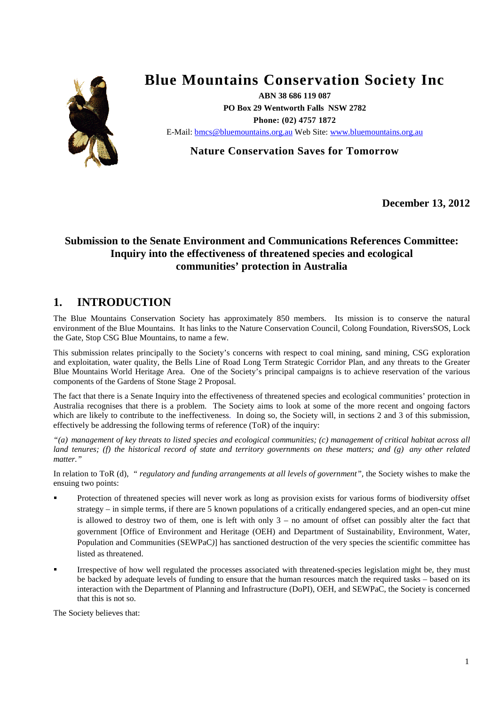

# **Blue Mountains Conservation Society Inc**

**ABN 38 686 119 087 PO Box 29 Wentworth Falls NSW 2782 Phone: (02) 4757 1872**  E-Mail: [bmcs@bluemountains.org.au](mailto:bmcs@bluemountains.org.au) Web Site: [www.bluemountains.org.au](http://www.bluemountains.org.au/)

**Nature Conservation Saves for Tomorrow**

**December 13, 2012**

# **Submission to the Senate Environment and Communications References Committee: Inquiry into the effectiveness of threatened species and ecological communities' protection in Australia**

# **1. INTRODUCTION**

The Blue Mountains Conservation Society has approximately 850 members. Its mission is to conserve the natural environment of the Blue Mountains. It has links to the Nature Conservation Council, Colong Foundation, RiversSOS, Lock the Gate, Stop CSG Blue Mountains, to name a few.

This submission relates principally to the Society's concerns with respect to coal mining, sand mining, CSG exploration and exploitation, water quality, the Bells Line of Road Long Term Strategic Corridor Plan, and any threats to the Greater Blue Mountains World Heritage Area. One of the Society's principal campaigns is to achieve reservation of the various components of the Gardens of Stone Stage 2 Proposal.

The fact that there is a Senate Inquiry into the effectiveness of threatened species and ecological communities' protection in Australia recognises that there is a problem. The Society aims to look at some of the more recent and ongoing factors which are likely to contribute to the ineffectiveness. In doing so, the Society will, in sections 2 and 3 of this submission, effectively be addressing the following terms of reference (ToR) of the inquiry:

*"(a) management of key threats to listed species and ecological communities; (c) management of critical habitat across all land tenures; (f) the historical record of state and territory governments on these matters; and (g) any other related matter."*

In relation to ToR (d), *" regulatory and funding arrangements at all levels of government",* the Society wishes to make the ensuing two points:

- Protection of threatened species will never work as long as provision exists for various forms of biodiversity offset strategy – in simple terms, if there are 5 known populations of a critically endangered species, and an open-cut mine is allowed to destroy two of them, one is left with only  $3 -$  no amount of offset can possibly alter the fact that government [Office of Environment and Heritage (OEH) and Department of Sustainability, Environment, Water, Population and Communities (SEWPaC)] has sanctioned destruction of the very species the scientific committee has listed as threatened.
- Irrespective of how well regulated the processes associated with threatened-species legislation might be, they must be backed by adequate levels of funding to ensure that the human resources match the required tasks – based on its interaction with the Department of Planning and Infrastructure (DoPI), OEH, and SEWPaC, the Society is concerned that this is not so.

The Society believes that: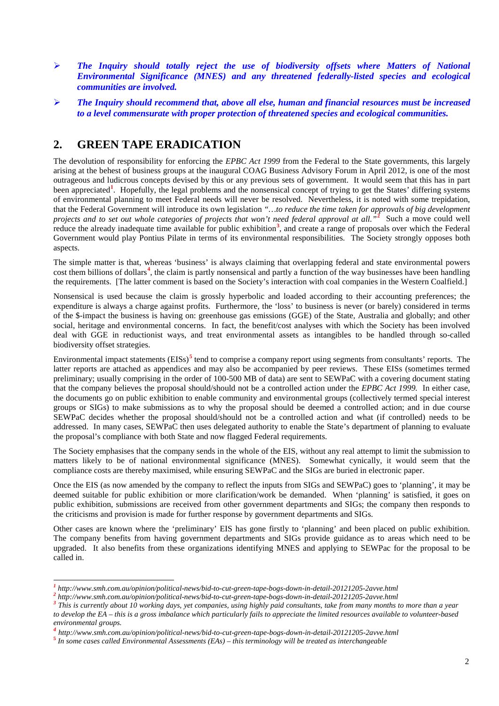- *The Inquiry should totally reject the use of biodiversity offsets where Matters of National Environmental Significance (MNES) and any threatened federally-listed species and ecological communities are involved.*
- *The Inquiry should recommend that, above all else, human and financial resources must be increased to a level commensurate with proper protection of threatened species and ecological communities.*

# **2. GREEN TAPE ERADICATION**

The devolution of responsibility for enforcing the *EPBC Act 1999* from the Federal to the State governments, this largely arising at the behest of business groups at the inaugural COAG Business Advisory Forum in April 2012, is one of the most outrageous and ludicrous concepts devised by this or any previous sets of government. It would seem that this has in part been appreciated<sup>[1](#page-1-0)</sup>. Hopefully, the legal problems and the nonsensical concept of trying to get the States' differing systems of environmental planning to meet Federal needs will never be resolved. Nevertheless, it is noted with some trepidation, that the Federal Government will introduce its own legislation *"…to reduce the time taken for approvals of big development projects and to set out whole categories of projects that won't need federal approval at all."***[2](#page-1-1)** Such a move could well reduce the already inadequate time available for public exhibition<sup>[3](#page-1-2)</sup>, and create a range of proposals over which the Federal Government would play Pontius Pilate in terms of its environmental responsibilities. The Society strongly opposes both aspects.

The simple matter is that, whereas 'business' is always claiming that overlapping federal and state environmental powers cost them billions of dollars<sup>[4](#page-1-3)</sup>, the claim is partly nonsensical and partly a function of the way businesses have been handling the requirements. [The latter comment is based on the Society's interaction with coal companies in the Western Coalfield.]

Nonsensical is used because the claim is grossly hyperbolic and loaded according to their accounting preferences; the expenditure is always a charge against profits. Furthermore, the 'loss' to business is never (or barely) considered in terms of the \$-impact the business is having on: greenhouse gas emissions (GGE) of the State, Australia and globally; and other social, heritage and environmental concerns. In fact, the benefit/cost analyses with which the Society has been involved deal with GGE in reductionist ways, and treat environmental assets as intangibles to be handled through so-called biodiversity offset strategies.

Environmental impact statements (EISs)<sup>[5](#page-1-4)</sup> tend to comprise a company report using segments from consultants' reports. The latter reports are attached as appendices and may also be accompanied by peer reviews. These EISs (sometimes termed preliminary; usually comprising in the order of 100-500 MB of data) are sent to SEWPaC with a covering document stating that the company believes the proposal should/should not be a controlled action under the *EPBC Act 1999.* In either case, the documents go on public exhibition to enable community and environmental groups (collectively termed special interest groups or SIGs) to make submissions as to why the proposal should be deemed a controlled action; and in due course SEWPaC decides whether the proposal should/should not be a controlled action and what (if controlled) needs to be addressed. In many cases, SEWPaC then uses delegated authority to enable the State's department of planning to evaluate the proposal's compliance with both State and now flagged Federal requirements.

The Society emphasises that the company sends in the whole of the EIS, without any real attempt to limit the submission to matters likely to be of national environmental significance (MNES). Somewhat cynically, it would seem that the compliance costs are thereby maximised, while ensuring SEWPaC and the SIGs are buried in electronic paper.

Once the EIS (as now amended by the company to reflect the inputs from SIGs and SEWPaC) goes to 'planning', it may be deemed suitable for public exhibition or more clarification/work be demanded. When 'planning' is satisfied, it goes on public exhibition, submissions are received from other government departments and SIGs; the company then responds to the criticisms and provision is made for further response by government departments and SIGs.

Other cases are known where the 'preliminary' EIS has gone firstly to 'planning' and been placed on public exhibition. The company benefits from having government departments and SIGs provide guidance as to areas which need to be upgraded. It also benefits from these organizations identifying MNES and applying to SEWPac for the proposal to be called in.

<span id="page-1-0"></span>

<span id="page-1-2"></span><span id="page-1-1"></span>

 $\frac{1}{2}$  http://www.smh.com.au/opinion/political-news/bid-to-cut-green-tape-bogs-down-in-detail-20121205-2avve.html<br> $\frac{2}{2}$  http://www.smh.com.au/opinion/political-news/bid-to-cut-green-tape-bogs-down-in-detail-2012120 *to develop the EA – this is a gross imbalance which particularly fails to appreciate the limited resources available to volunteer-based environmental groups.*

<span id="page-1-3"></span> $^4$  http://www.smh.com.au/opinion/political-news/bid-to-cut-green-tape-bogs-down-in-detail-20121205-2avve.html<br>  $^5$  In some cases called Environmental Assessments (EAs) – this terminology will be treated as interchangea

<span id="page-1-4"></span>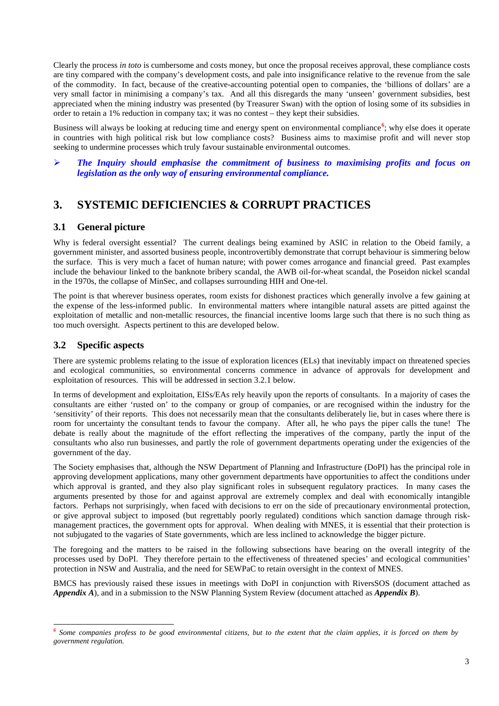Clearly the process *in toto* is cumbersome and costs money, but once the proposal receives approval, these compliance costs are tiny compared with the company's development costs, and pale into insignificance relative to the revenue from the sale of the commodity. In fact, because of the creative-accounting potential open to companies, the 'billions of dollars' are a very small factor in minimising a company's tax. And all this disregards the many 'unseen' government subsidies, best appreciated when the mining industry was presented (by Treasurer Swan) with the option of losing some of its subsidies in order to retain a 1% reduction in company tax; it was no contest – they kept their subsidies.

Business will always be looking at reducing time and energy spent on environmental compliance<sup>[6](#page-2-0)</sup>; why else does it operate in countries with high political risk but low compliance costs? Business aims to maximise profit and will never stop seeking to undermine processes which truly favour sustainable environmental outcomes.

### *The Inquiry should emphasise the commitment of business to maximising profits and focus on legislation as the only way of ensuring environmental compliance.*

# **3. SYSTEMIC DEFICIENCIES & CORRUPT PRACTICES**

# **3.1 General picture**

Why is federal oversight essential? The current dealings being examined by ASIC in relation to the Obeid family, a government minister, and assorted business people, incontrovertibly demonstrate that corrupt behaviour is simmering below the surface. This is very much a facet of human nature; with power comes arrogance and financial greed. Past examples include the behaviour linked to the banknote bribery scandal, the AWB oil-for-wheat scandal, the Poseidon nickel scandal in the 1970s, the collapse of MinSec, and collapses surrounding HIH and One-tel.

The point is that wherever business operates, room exists for dishonest practices which generally involve a few gaining at the expense of the less-informed public. In environmental matters where intangible natural assets are pitted against the exploitation of metallic and non-metallic resources, the financial incentive looms large such that there is no such thing as too much oversight. Aspects pertinent to this are developed below.

# **3.2 Specific aspects**

There are systemic problems relating to the issue of exploration licences (ELs) that inevitably impact on threatened species and ecological communities, so environmental concerns commence in advance of approvals for development and exploitation of resources. This will be addressed in section 3.2.1 below.

In terms of development and exploitation, EISs/EAs rely heavily upon the reports of consultants. In a majority of cases the consultants are either 'rusted on' to the company or group of companies, or are recognised within the industry for the 'sensitivity' of their reports. This does not necessarily mean that the consultants deliberately lie, but in cases where there is room for uncertainty the consultant tends to favour the company. After all, he who pays the piper calls the tune! The debate is really about the magnitude of the effort reflecting the imperatives of the company, partly the input of the consultants who also run businesses, and partly the role of government departments operating under the exigencies of the government of the day.

The Society emphasises that, although the NSW Department of Planning and Infrastructure (DoPI) has the principal role in approving development applications, many other government departments have opportunities to affect the conditions under which approval is granted, and they also play significant roles in subsequent regulatory practices. In many cases the arguments presented by those for and against approval are extremely complex and deal with economically intangible factors. Perhaps not surprisingly, when faced with decisions to err on the side of precautionary environmental protection, or give approval subject to imposed (but regrettably poorly regulated) conditions which sanction damage through riskmanagement practices, the government opts for approval. When dealing with MNES, it is essential that their protection is not subjugated to the vagaries of State governments, which are less inclined to acknowledge the bigger picture.

The foregoing and the matters to be raised in the following subsections have bearing on the overall integrity of the processes used by DoPI. They therefore pertain to the effectiveness of threatened species' and ecological communities' protection in NSW and Australia, and the need for SEWPaC to retain oversight in the context of MNES.

BMCS has previously raised these issues in meetings with DoPI in conjunction with RiversSOS (document attached as *Appendix A*), and in a submission to the NSW Planning System Review (document attached as *Appendix B*).

<span id="page-2-0"></span>*<sup>6</sup> Some companies profess to be good environmental citizens, but to the extent that the claim applies, it is forced on them by government regulation.*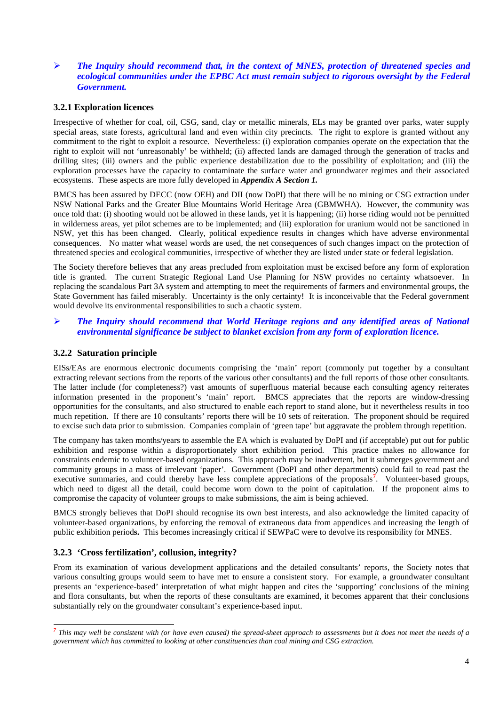## *The Inquiry should recommend that, in the context of MNES, protection of threatened species and ecological communities under the EPBC Act must remain subject to rigorous oversight by the Federal Government.*

### **3.2.1 Exploration licences**

Irrespective of whether for coal, oil, CSG, sand, clay or metallic minerals, ELs may be granted over parks, water supply special areas, state forests, agricultural land and even within city precincts. The right to explore is granted without any commitment to the right to exploit a resource. Nevertheless: (i) exploration companies operate on the expectation that the right to exploit will not 'unreasonably' be withheld; (ii) affected lands are damaged through the generation of tracks and drilling sites; (iii) owners and the public experience destabilization due to the possibility of exploitation; and (iii) the exploration processes have the capacity to contaminate the surface water and groundwater regimes and their associated ecosystems. These aspects are more fully developed in *Appendix A Section 1.*

BMCS has been assured by DECC (now OEH) and DII (now DoPI) that there will be no mining or CSG extraction under NSW National Parks and the Greater Blue Mountains World Heritage Area (GBMWHA). However, the community was once told that: (i) shooting would not be allowed in these lands, yet it is happening; (ii) horse riding would not be permitted in wilderness areas, yet pilot schemes are to be implemented; and (iii) exploration for uranium would not be sanctioned in NSW, yet this has been changed. Clearly, political expedience results in changes which have adverse environmental consequences. No matter what weasel words are used, the net consequences of such changes impact on the protection of threatened species and ecological communities, irrespective of whether they are listed under state or federal legislation.

The Society therefore believes that any areas precluded from exploitation must be excised before any form of exploration title is granted. The current Strategic Regional Land Use Planning for NSW provides no certainty whatsoever. In replacing the scandalous Part 3A system and attempting to meet the requirements of farmers and environmental groups, the State Government has failed miserably. Uncertainty is the only certainty! It is inconceivable that the Federal government would devolve its environmental responsibilities to such a chaotic system.

### *The Inquiry should recommend that World Heritage regions and any identified areas of National environmental significance be subject to blanket excision from any form of exploration licence.*

#### **3.2.2 Saturation principle**

EISs/EAs are enormous electronic documents comprising the 'main' report (commonly put together by a consultant extracting relevant sections from the reports of the various other consultants) and the full reports of those other consultants. The latter include (for completeness?) vast amounts of superfluous material because each consulting agency reiterates information presented in the proponent's 'main' report. BMCS appreciates that the reports are window-dressing opportunities for the consultants, and also structured to enable each report to stand alone, but it nevertheless results in too much repetition. If there are 10 consultants' reports there will be 10 sets of reiteration. The proponent should be required to excise such data prior to submission. Companies complain of 'green tape' but aggravate the problem through repetition.

The company has taken months/years to assemble the EA which is evaluated by DoPI and (if acceptable) put out for public exhibition and response within a disproportionately short exhibition period. This practice makes no allowance for constraints endemic to volunteer-based organizations. This approach may be inadvertent, but it submerges government and community groups in a mass of irrelevant 'paper'. Government (DoPI and other departments) could fail to read past the executive summaries, and could thereby have less complete appreciations of the proposals<sup>[7](#page-3-0)</sup>. Volunteer-based groups, which need to digest all the detail, could become worn down to the point of capitulation. If the proponent aims to compromise the capacity of volunteer groups to make submissions, the aim is being achieved.

BMCS strongly believes that DoPI should recognise its own best interests, and also acknowledge the limited capacity of volunteer-based organizations, by enforcing the removal of extraneous data from appendices and increasing the length of public exhibition period**s.** This becomes increasingly critical if SEWPaC were to devolve its responsibility for MNES.

### **3.2.3 'Cross fertilization', collusion, integrity?**

From its examination of various development applications and the detailed consultants' reports, the Society notes that various consulting groups would seem to have met to ensure a consistent story. For example, a groundwater consultant presents an 'experience-based' interpretation of what might happen and cites the 'supporting' conclusions of the mining and flora consultants, but when the reports of these consultants are examined, it becomes apparent that their conclusions substantially rely on the groundwater consultant's experience-based input.

<span id="page-3-0"></span>*<sup>7</sup> This may well be consistent with (or have even caused) the spread-sheet approach to assessments but it does not meet the needs of a government which has committed to looking at other constituencies than coal mining and CSG extraction.*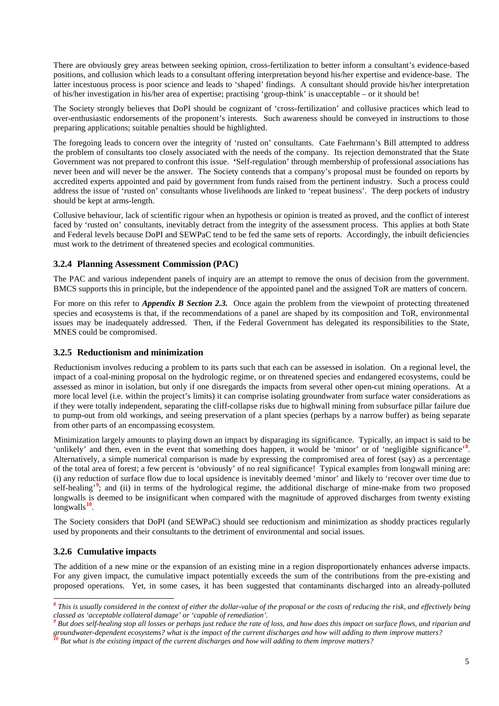There are obviously grey areas between seeking opinion, cross-fertilization to better inform a consultant's evidence-based positions, and collusion which leads to a consultant offering interpretation beyond his/her expertise and evidence-base. The latter incestuous process is poor science and leads to 'shaped' findings. A consultant should provide his/her interpretation of his/her investigation in his/her area of expertise; practising 'group-think' is unacceptable – or it should be!

The Society strongly believes that DoPI should be cognizant of 'cross-fertilization' and collusive practices which lead to over-enthusiastic endorsements of the proponent's interests. Such awareness should be conveyed in instructions to those preparing applications; suitable penalties should be highlighted.

The foregoing leads to concern over the integrity of 'rusted on' consultants. Cate Faehrmann's Bill attempted to address the problem of consultants too closely associated with the needs of the company. Its rejection demonstrated that the State Government was not prepared to confront this issue. **'**Self-regulation' through membership of professional associations has never been and will never be the answer. The Society contends that a company's proposal must be founded on reports by accredited experts appointed and paid by government from funds raised from the pertinent industry. Such a process could address the issue of 'rusted on' consultants whose livelihoods are linked to 'repeat business'. The deep pockets of industry should be kept at arms-length.

Collusive behaviour, lack of scientific rigour when an hypothesis or opinion is treated as proved, and the conflict of interest faced by 'rusted on' consultants, inevitably detract from the integrity of the assessment process. This applies at both State and Federal levels because DoPI and SEWPaC tend to be fed the same sets of reports. Accordingly, the inbuilt deficiencies must work to the detriment of threatened species and ecological communities.

### **3.2.4 Planning Assessment Commission (PAC)**

The PAC and various independent panels of inquiry are an attempt to remove the onus of decision from the government. BMCS supports this in principle, but the independence of the appointed panel and the assigned ToR are matters of concern.

For more on this refer to *Appendix B Section 2.3.* Once again the problem from the viewpoint of protecting threatened species and ecosystems is that, if the recommendations of a panel are shaped by its composition and ToR, environmental issues may be inadequately addressed. Then, if the Federal Government has delegated its responsibilities to the State, MNES could be compromised.

### **3.2.5 Reductionism and minimization**

Reductionism involves reducing a problem to its parts such that each can be assessed in isolation. On a regional level, the impact of a coal-mining proposal on the hydrologic regime, or on threatened species and endangered ecosystems, could be assessed as minor in isolation, but only if one disregards the impacts from several other open-cut mining operations. At a more local level (i.e. within the project's limits) it can comprise isolating groundwater from surface water considerations as if they were totally independent, separating the cliff-collapse risks due to highwall mining from subsurface pillar failure due to pump-out from old workings, and seeing preservation of a plant species (perhaps by a narrow buffer) as being separate from other parts of an encompassing ecosystem.

Minimization largely amounts to playing down an impact by disparaging its significance. Typically, an impact is said to be 'unlikely' and then, even in the event that something does happen, it would be 'minor' or of 'negligible significance'<sup>[8](#page-4-0)</sup>. Alternatively, a simple numerical comparison is made by expressing the compromised area of forest (say) as a percentage of the total area of forest; a few percent is 'obviously' of no real significance! Typical examples from longwall mining are: (i) any reduction of surface flow due to local upsidence is inevitably deemed 'minor' and likely to 'recover over time due to self-healing'<sup>[9](#page-4-1)</sup>; and (ii) in terms of the hydrological regime, the additional discharge of mine-make from two proposed longwalls is deemed to be insignificant when compared with the magnitude of approved discharges from twenty existing longwalls**[10](#page-4-2)**.

The Society considers that DoPI (and SEWPaC) should see reductionism and minimization as shoddy practices regularly used by proponents and their consultants to the detriment of environmental and social issues.

### **3.2.6 Cumulative impacts**

The addition of a new mine or the expansion of an existing mine in a region disproportionately enhances adverse impacts. For any given impact, the cumulative impact potentially exceeds the sum of the contributions from the pre-existing and proposed operations. Yet, in some cases, it has been suggested that contaminants discharged into an already-polluted

<span id="page-4-0"></span>*<sup>8</sup> This is usually considered in the context of either the dollar-value of the proposal or the costs of reducing the risk, and effectively being*  classed as 'acceptable collateral damage' or 'capable of remediation'.<br><sup>9</sup> But does self-healing stop all losses or perhaps just reduce the rate of loss, and how does this impact on surface flows, and riparian and

<span id="page-4-1"></span>groundwater-dependent ecosystems? what is the impact of the current discharges and how will adding to them improve matters?<br><sup>10</sup> But what is the existing impact of the current discharges and how will adding to them improv

<span id="page-4-2"></span>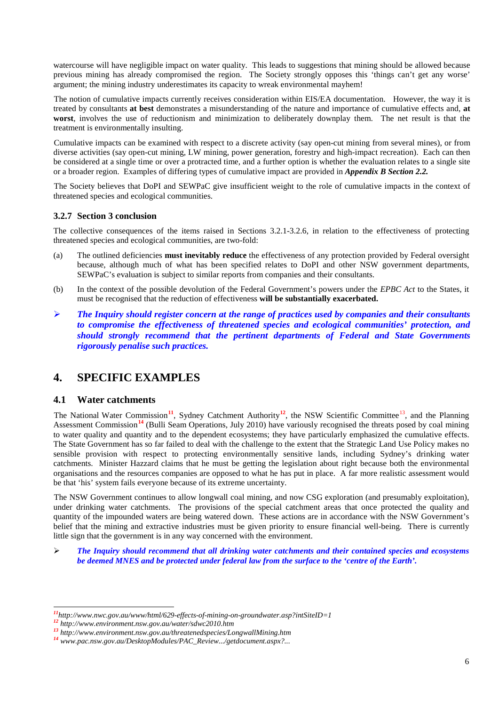watercourse will have negligible impact on water quality. This leads to suggestions that mining should be allowed because previous mining has already compromised the region. The Society strongly opposes this 'things can't get any worse' argument; the mining industry underestimates its capacity to wreak environmental mayhem!

The notion of cumulative impacts currently receives consideration within EIS/EA documentation. However, the way it is treated by consultants **at best** demonstrates a misunderstanding of the nature and importance of cumulative effects and, **at worst**, involves the use of reductionism and minimization to deliberately downplay them. The net result is that the treatment is environmentally insulting.

Cumulative impacts can be examined with respect to a discrete activity (say open-cut mining from several mines), or from diverse activities (say open-cut mining, LW mining, power generation, forestry and high-impact recreation). Each can then be considered at a single time or over a protracted time, and a further option is whether the evaluation relates to a single site or a broader region. Examples of differing types of cumulative impact are provided in *Appendix B Section 2.2.*

The Society believes that DoPI and SEWPaC give insufficient weight to the role of cumulative impacts in the context of threatened species and ecological communities.

### **3.2.7 Section 3 conclusion**

The collective consequences of the items raised in Sections 3.2.1-3.2.6, in relation to the effectiveness of protecting threatened species and ecological communities, are two-fold:

- (a) The outlined deficiencies **must inevitably reduce** the effectiveness of any protection provided by Federal oversight because, although much of what has been specified relates to DoPI and other NSW government departments, SEWPaC's evaluation is subject to similar reports from companies and their consultants.
- (b) In the context of the possible devolution of the Federal Government's powers under the *EPBC Act* to the States, it must be recognised that the reduction of effectiveness **will be substantially exacerbated.**
- *The Inquiry should register concern at the range of practices used by companies and their consultants to compromise the effectiveness of threatened species and ecological communities' protection, and should strongly recommend that the pertinent departments of Federal and State Governments rigorously penalise such practices.*

# **4. SPECIFIC EXAMPLES**

## **4.1 Water catchments**

The National Water Commission<sup>[11](#page-5-0)</sup>, Sydney Catchment Authority<sup>[12](#page-5-1)</sup>, the NSW Scientific Committee<sup>[13](#page-5-2)</sup>, and the Planning Assessment Commission**[14](#page-5-3)** (Bulli Seam Operations, July 2010) have variously recognised the threats posed by coal mining to water quality and quantity and to the dependent ecosystems; they have particularly emphasized the cumulative effects. The State Government has so far failed to deal with the challenge to the extent that the Strategic Land Use Policy makes no sensible provision with respect to protecting environmentally sensitive lands, including Sydney's drinking water catchments. Minister Hazzard claims that he must be getting the legislation about right because both the environmental organisations and the resources companies are opposed to what he has put in place. A far more realistic assessment would be that 'his' system fails everyone because of its extreme uncertainty.

The NSW Government continues to allow longwall coal mining, and now CSG exploration (and presumably exploitation), under drinking water catchments. The provisions of the special catchment areas that once protected the quality and quantity of the impounded waters are being watered down. These actions are in accordance with the NSW Government's belief that the mining and extractive industries must be given priority to ensure financial well-being. There is currently little sign that the government is in any way concerned with the environment.

 *The Inquiry should recommend that all drinking water catchments and their contained species and ecosystems be deemed MNES and be protected under federal law from the surface to the 'centre of the Earth'.*

<span id="page-5-0"></span> $\frac{n_1}{n_2}$ <br>
http://www.nwc.gov.au/www/html/629-effects-of-mining-on-groundwater.asp?intSiteID=1<br>  $\frac{n_2}{n_1}$ http://www.environment.nsw.gov.au/water/sdwc2010.htm<br>  $\frac{n_3}{n_2}$ http://www.environment.nsw.gov.au/threatened

<span id="page-5-1"></span>

<span id="page-5-2"></span>

<span id="page-5-3"></span>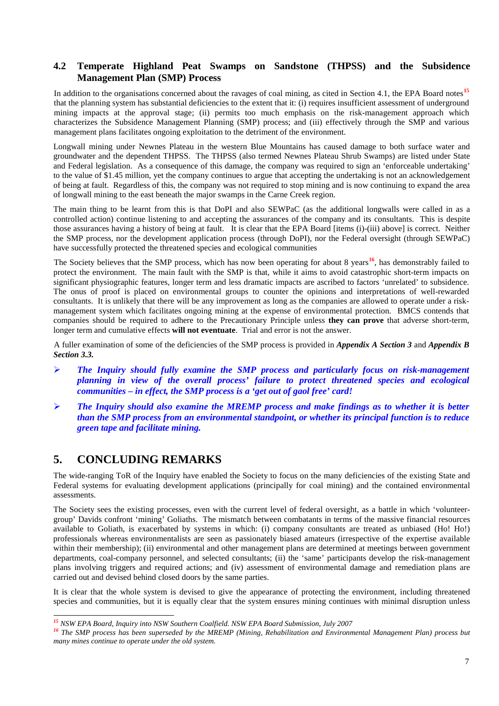## **4.2 Temperate Highland Peat Swamps on Sandstone (THPSS) and the Subsidence Management Plan (SMP) Process**

In addition to the organisations concerned about the ravages of coal mining, as cited in Section 4.1, the EPA Board notes<sup>[15](#page-6-0)</sup> that the planning system has substantial deficiencies to the extent that it: (i) requires insufficient assessment of underground mining impacts at the approval stage; (ii) permits too much emphasis on the risk-management approach which characterizes the Subsidence Management Planning (SMP) process; and (iii) effectively through the SMP and various management plans facilitates ongoing exploitation to the detriment of the environment.

Longwall mining under Newnes Plateau in the western Blue Mountains has caused damage to both surface water and groundwater and the dependent THPSS. The THPSS (also termed Newnes Plateau Shrub Swamps) are listed under State and Federal legislation. As a consequence of this damage, the company was required to sign an 'enforceable undertaking' to the value of \$1.45 million, yet the company continues to argue that accepting the undertaking is not an acknowledgement of being at fault. Regardless of this, the company was not required to stop mining and is now continuing to expand the area of longwall mining to the east beneath the major swamps in the Carne Creek region.

The main thing to be learnt from this is that DoPI and also SEWPaC (as the additional longwalls were called in as a controlled action) continue listening to and accepting the assurances of the company and its consultants. This is despite those assurances having a history of being at fault. It is clear that the EPA Board [items (i)-(iii) above] is correct. Neither the SMP process, nor the development application process (through DoPI), nor the Federal oversight (through SEWPaC) have successfully protected the threatened species and ecological communities

The Society believes that the SMP process, which has now been operating for about 8 years**[16](#page-6-1)**, has demonstrably failed to protect the environment. The main fault with the SMP is that, while it aims to avoid catastrophic short-term impacts on significant physiographic features, longer term and less dramatic impacts are ascribed to factors 'unrelated' to subsidence. The onus of proof is placed on environmental groups to counter the opinions and interpretations of well-rewarded consultants. It is unlikely that there will be any improvement as long as the companies are allowed to operate under a riskmanagement system which facilitates ongoing mining at the expense of environmental protection. BMCS contends that companies should be required to adhere to the Precautionary Principle unless **they can prove** that adverse short-term, longer term and cumulative effects **will not eventuate**. Trial and error is not the answer.

A fuller examination of some of the deficiencies of the SMP process is provided in *Appendix A Section 3* and *Appendix B Section 3.3.*

- *The Inquiry should fully examine the SMP process and particularly focus on risk-management planning in view of the overall process' failure to protect threatened species and ecological communities – in effect, the SMP process is a 'get out of gaol free' card!*
- *The Inquiry should also examine the MREMP process and make findings as to whether it is better than the SMP process from an environmental standpoint, or whether its principal function is to reduce green tape and facilitate mining.*

# **5. CONCLUDING REMARKS**

The wide-ranging ToR of the Inquiry have enabled the Society to focus on the many deficiencies of the existing State and Federal systems for evaluating development applications (principally for coal mining) and the contained environmental assessments.

The Society sees the existing processes, even with the current level of federal oversight, as a battle in which 'volunteergroup' Davids confront 'mining' Goliaths. The mismatch between combatants in terms of the massive financial resources available to Goliath, is exacerbated by systems in which: (i) company consultants are treated as unbiased (Ho! Ho!) professionals whereas environmentalists are seen as passionately biased amateurs (irrespective of the expertise available within their membership); (ii) environmental and other management plans are determined at meetings between government departments, coal-company personnel, and selected consultants; (ii) the 'same' participants develop the risk-management plans involving triggers and required actions; and (iv) assessment of environmental damage and remediation plans are carried out and devised behind closed doors by the same parties.

It is clear that the whole system is devised to give the appearance of protecting the environment, including threatened species and communities, but it is equally clear that the system ensures mining continues with minimal disruption unless

<span id="page-6-1"></span><span id="page-6-0"></span><sup>&</sup>lt;sup>15</sup> NSW EPA Board, Inquiry into NSW Southern Coalfield. NSW EPA Board Submission, July 2007<br><sup>16</sup> The SMP process has been superseded by the MREMP (Mining, Rehabilitation and Environmental Management Plan) process but *many mines continue to operate under the old system.*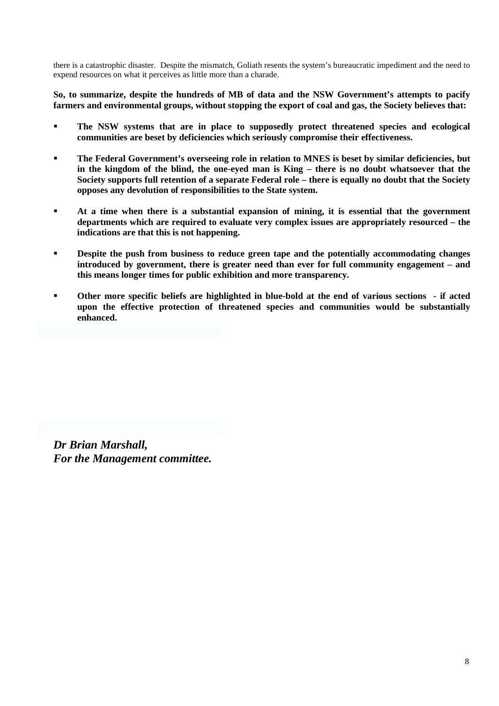there is a catastrophic disaster. Despite the mismatch, Goliath resents the system's bureaucratic impediment and the need to expend resources on what it perceives as little more than a charade.

**So, to summarize, despite the hundreds of MB of data and the NSW Government's attempts to pacify farmers and environmental groups, without stopping the export of coal and gas, the Society believes that:** 

- **The NSW systems that are in place to supposedly protect threatened species and ecological communities are beset by deficiencies which seriously compromise their effectiveness.**
- **The Federal Government's overseeing role in relation to MNES is beset by similar deficiencies, but in the kingdom of the blind, the one-eyed man is King – there is no doubt whatsoever that the Society supports full retention of a separate Federal role – there is equally no doubt that the Society opposes any devolution of responsibilities to the State system.**
- **At a time when there is a substantial expansion of mining, it is essential that the government departments which are required to evaluate very complex issues are appropriately resourced – the indications are that this is not happening.**
- **Pespite the push from business to reduce green tape and the potentially accommodating changes introduced by government, there is greater need than ever for full community engagement – and this means longer times for public exhibition and more transparency.**
- **Other more specific beliefs are highlighted in blue-bold at the end of various sections if acted upon the effective protection of threatened species and communities would be substantially enhanced.**

*Dr Brian Marshall, For the Management committee.*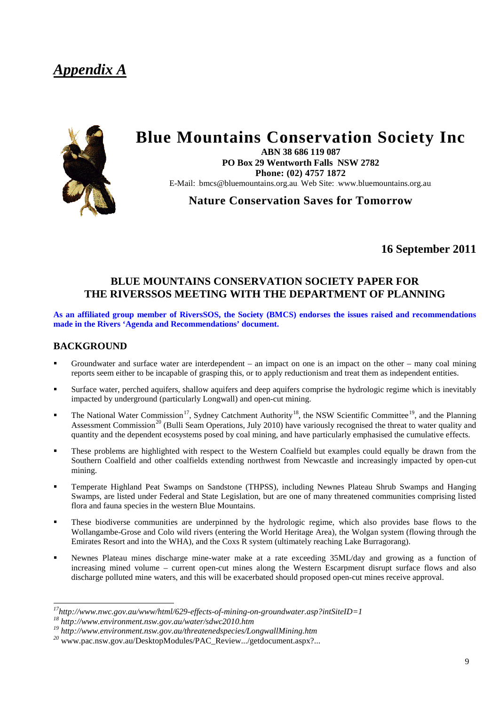# *Appendix A*



# **Blue Mountains Conservation Society Inc**

**ABN 38 686 119 087 PO Box 29 Wentworth Falls NSW 2782 Phone: (02) 4757 1872**  E-Mail: https://educhountains.org.au\_Web Site: www.bluemountains.org.au

**Nature Conservation Saves for Tomorrow**

**16 September 2011**

# **BLUE MOUNTAINS CONSERVATION SOCIETY PAPER FOR THE RIVERSSOS MEETING WITH THE DEPARTMENT OF PLANNING**

**As an affiliated group member of RiversSOS, the Society (BMCS) endorses the issues raised and recommendations made in the Rivers 'Agenda and Recommendations' document.**

## **BACKGROUND**

- Groundwater and surface water are interdependent an impact on one is an impact on the other many coal mining reports seem either to be incapable of grasping this, or to apply reductionism and treat them as independent entities.
- Surface water, perched aquifers, shallow aquifers and deep aquifers comprise the hydrologic regime which is inevitably impacted by underground (particularly Longwall) and open-cut mining.
- The National Water Commission<sup>17</sup>, Sydney Catchment Authority<sup>[18](#page-8-1)</sup>, the NSW Scientific Committee<sup>19</sup>, and the Planning Assessment Commission<sup>[20](#page-8-3)</sup> (Bulli Seam Operations, July 2010) have variously recognised the threat to water quality and quantity and the dependent ecosystems posed by coal mining, and have particularly emphasised the cumulative effects.
- These problems are highlighted with respect to the Western Coalfield but examples could equally be drawn from the Southern Coalfield and other coalfields extending northwest from Newcastle and increasingly impacted by open-cut mining.
- Temperate Highland Peat Swamps on Sandstone (THPSS), including Newnes Plateau Shrub Swamps and Hanging Swamps, are listed under Federal and State Legislation, but are one of many threatened communities comprising listed flora and fauna species in the western Blue Mountains.
- These biodiverse communities are underpinned by the hydrologic regime, which also provides base flows to the Wollangambe-Grose and Colo wild rivers (entering the World Heritage Area), the Wolgan system (flowing through the Emirates Resort and into the WHA), and the Coxs R system (ultimately reaching Lake Burragorang).
- Newnes Plateau mines discharge mine-water make at a rate exceeding 35ML/day and growing as a function of increasing mined volume – current open-cut mines along the Western Escarpment disrupt surface flows and also discharge polluted mine waters, and this will be exacerbated should proposed open-cut mines receive approval.

<span id="page-8-0"></span><sup>&</sup>lt;sup>17</sup>http://www.nwc.gov.au/www/html/629-effects-of-mining-on-groundwater.asp?intSiteID=1<br><sup>18</sup> http://www.environment.nsw.gov.au/water/sdwc2010.htm<br><sup>19</sup> http://www.environment.nsw.gov.au/threatenedspecies/LongwallMining.htm

<span id="page-8-1"></span>

<span id="page-8-2"></span>

<span id="page-8-3"></span>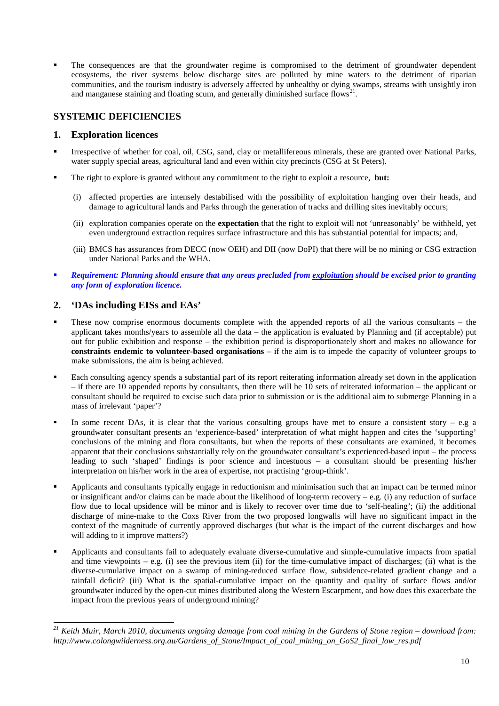The consequences are that the groundwater regime is compromised to the detriment of groundwater dependent ecosystems, the river systems below discharge sites are polluted by mine waters to the detriment of riparian communities, and the tourism industry is adversely affected by unhealthy or dying swamps, streams with unsightly iron and manganese staining and floating scum, and generally diminished surface flows<sup>2</sup>

# **SYSTEMIC DEFICIENCIES**

## **1. Exploration licences**

- Irrespective of whether for coal, oil, CSG, sand, clay or metallifereous minerals, these are granted over National Parks, water supply special areas, agricultural land and even within city precincts (CSG at St Peters).
- The right to explore is granted without any commitment to the right to exploit a resource, **but:**
	- (i) affected properties are intensely destabilised with the possibility of exploitation hanging over their heads, and damage to agricultural lands and Parks through the generation of tracks and drilling sites inevitably occurs;
	- (ii) exploration companies operate on the **expectation** that the right to exploit will not 'unreasonably' be withheld, yet even underground extraction requires surface infrastructure and this has substantial potential for impacts; and,
	- (iii) BMCS has assurances from DECC (now OEH) and DII (now DoPI) that there will be no mining or CSG extraction under National Parks and the WHA.
- *Requirement: Planning should ensure that any areas precluded from exploitation should be excised prior to granting any form of exploration licence.*

# **2. 'DAs including EISs and EAs'**

- These now comprise enormous documents complete with the appended reports of all the various consultants the applicant takes months/years to assemble all the data – the application is evaluated by Planning and (if acceptable) put out for public exhibition and response – the exhibition period is disproportionately short and makes no allowance for **constraints endemic to volunteer-based organisations** – if the aim is to impede the capacity of volunteer groups to make submissions, the aim is being achieved.
- Each consulting agency spends a substantial part of its report reiterating information already set down in the application – if there are 10 appended reports by consultants, then there will be 10 sets of reiterated information – the applicant or consultant should be required to excise such data prior to submission or is the additional aim to submerge Planning in a mass of irrelevant 'paper'?
- In some recent DAs, it is clear that the various consulting groups have met to ensure a consistent story e.g a groundwater consultant presents an 'experience-based' interpretation of what might happen and cites the 'supporting' conclusions of the mining and flora consultants, but when the reports of these consultants are examined, it becomes apparent that their conclusions substantially rely on the groundwater consultant's experienced-based input – the process leading to such 'shaped' findings is poor science and incestuous – a consultant should be presenting his/her interpretation on his/her work in the area of expertise, not practising 'group-think'.
- Applicants and consultants typically engage in reductionism and minimisation such that an impact can be termed minor or insignificant and/or claims can be made about the likelihood of long-term recovery  $-e.g.$  (i) any reduction of surface flow due to local upsidence will be minor and is likely to recover over time due to 'self-healing'; (ii) the additional discharge of mine-make to the Coxs River from the two proposed longwalls will have no significant impact in the context of the magnitude of currently approved discharges (but what is the impact of the current discharges and how will adding to it improve matters?)
- Applicants and consultants fail to adequately evaluate diverse-cumulative and simple-cumulative impacts from spatial and time viewpoints – e.g. (i) see the previous item (ii) for the time-cumulative impact of discharges; (ii) what is the diverse-cumulative impact on a swamp of mining-reduced surface flow, subsidence-related gradient change and a rainfall deficit? (iii) What is the spatial-cumulative impact on the quantity and quality of surface flows and/or groundwater induced by the open-cut mines distributed along the Western Escarpment, and how does this exacerbate the impact from the previous years of underground mining?

<span id="page-9-0"></span>*<sup>21</sup> Keith Muir, March 2010, documents ongoing damage from coal mining in the Gardens of Stone region – download from: http://www.colongwilderness.org.au/Gardens\_of\_Stone/Impact\_of\_coal\_mining\_on\_GoS2\_final\_low\_res.pdf*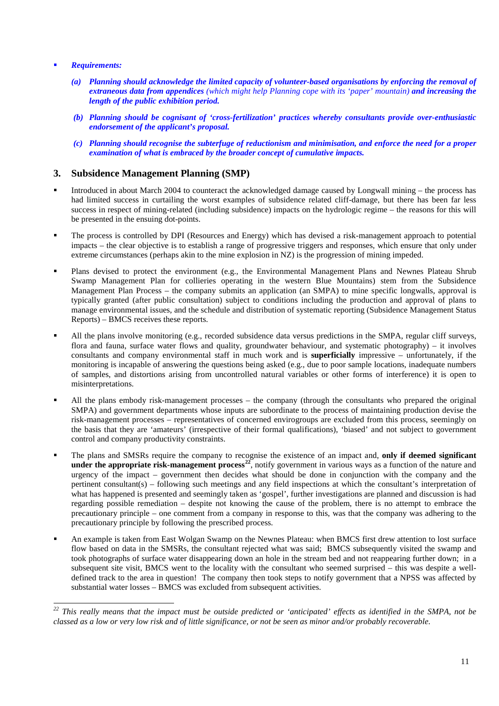#### *Requirements:*

- *(a) Planning should acknowledge the limited capacity of volunteer-based organisations by enforcing the removal of extraneous data from appendices (which might help Planning cope with its 'paper' mountain) and increasing the length of the public exhibition period.*
- *(b) Planning should be cognisant of 'cross-fertilization' practices whereby consultants provide over-enthusiastic endorsement of the applicant's proposal.*
- *(c) Planning should recognise the subterfuge of reductionism and minimisation, and enforce the need for a proper examination of what is embraced by the broader concept of cumulative impacts.*

### **3. Subsidence Management Planning (SMP)**

- Introduced in about March 2004 to counteract the acknowledged damage caused by Longwall mining the process has had limited success in curtailing the worst examples of subsidence related cliff-damage, but there has been far less success in respect of mining-related (including subsidence) impacts on the hydrologic regime – the reasons for this will be presented in the ensuing dot-points.
- The process is controlled by DPI (Resources and Energy) which has devised a risk-management approach to potential impacts – the clear objective is to establish a range of progressive triggers and responses, which ensure that only under extreme circumstances (perhaps akin to the mine explosion in NZ) is the progression of mining impeded.
- Plans devised to protect the environment (e.g., the Environmental Management Plans and Newnes Plateau Shrub Swamp Management Plan for collieries operating in the western Blue Mountains) stem from the Subsidence Management Plan Process – the company submits an application (an SMPA) to mine specific longwalls, approval is typically granted (after public consultation) subject to conditions including the production and approval of plans to manage environmental issues, and the schedule and distribution of systematic reporting (Subsidence Management Status Reports) – BMCS receives these reports.
- All the plans involve monitoring (e.g., recorded subsidence data versus predictions in the SMPA, regular cliff surveys, flora and fauna, surface water flows and quality, groundwater behaviour, and systematic photography) – it involves consultants and company environmental staff in much work and is **superficially** impressive – unfortunately, if the monitoring is incapable of answering the questions being asked (e.g., due to poor sample locations, inadequate numbers of samples, and distortions arising from uncontrolled natural variables or other forms of interference) it is open to misinterpretations.
- All the plans embody risk-management processes the company (through the consultants who prepared the original SMPA) and government departments whose inputs are subordinate to the process of maintaining production devise the risk-management processes – representatives of concerned envirogroups are excluded from this process, seemingly on the basis that they are 'amateurs' (irrespective of their formal qualifications), 'biased' and not subject to government control and company productivity constraints.
- The plans and SMSRs require the company to recognise the existence of an impact and, **only if deemed significant under the appropriate risk-management process[22](#page-10-0)**, notify government in various ways as a function of the nature and urgency of the impact – government then decides what should be done in conjunction with the company and the pertinent consultant(s) – following such meetings and any field inspections at which the consultant's interpretation of what has happened is presented and seemingly taken as 'gospel', further investigations are planned and discussion is had regarding possible remediation – despite not knowing the cause of the problem, there is no attempt to embrace the precautionary principle – one comment from a company in response to this, was that the company was adhering to the precautionary principle by following the prescribed process.
- An example is taken from East Wolgan Swamp on the Newnes Plateau: when BMCS first drew attention to lost surface flow based on data in the SMSRs, the consultant rejected what was said: BMCS subsequently visited the swamp and took photographs of surface water disappearing down an hole in the stream bed and not reappearing further down; in a subsequent site visit, BMCS went to the locality with the consultant who seemed surprised – this was despite a welldefined track to the area in question! The company then took steps to notify government that a NPSS was affected by substantial water losses – BMCS was excluded from subsequent activities.

<span id="page-10-0"></span>*<sup>22</sup> This really means that the impact must be outside predicted or 'anticipated' effects as identified in the SMPA, not be classed as a low or very low risk and of little significance, or not be seen as minor and/or probably recoverable.*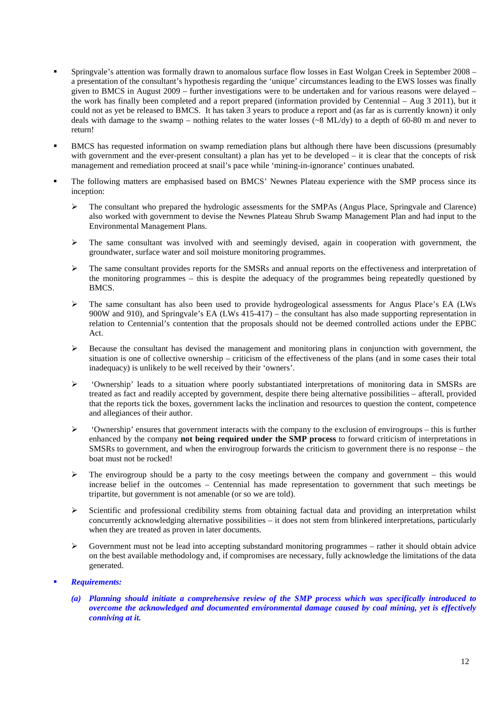- Springvale's attention was formally drawn to anomalous surface flow losses in East Wolgan Creek in September 2008 a presentation of the consultant's hypothesis regarding the 'unique' circumstances leading to the EWS losses was finally given to BMCS in August 2009 – further investigations were to be undertaken and for various reasons were delayed – the work has finally been completed and a report prepared (information provided by Centennial – Aug 3 2011), but it could not as yet be released to BMCS. It has taken 3 years to produce a report and (as far as is currently known) it only deals with damage to the swamp – nothing relates to the water losses ( $\sim 8$  ML/dy) to a depth of 60-80 m and never to return!
- BMCS has requested information on swamp remediation plans but although there have been discussions (presumably with government and the ever-present consultant) a plan has yet to be developed – it is clear that the concepts of risk management and remediation proceed at snail's pace while 'mining-in-ignorance' continues unabated.
- The following matters are emphasised based on BMCS' Newnes Plateau experience with the SMP process since its inception:
	- The consultant who prepared the hydrologic assessments for the SMPAs (Angus Place, Springvale and Clarence) also worked with government to devise the Newnes Plateau Shrub Swamp Management Plan and had input to the Environmental Management Plans.
	- The same consultant was involved with and seemingly devised, again in cooperation with government, the groundwater, surface water and soil moisture monitoring programmes.
	- $\triangleright$  The same consultant provides reports for the SMSRs and annual reports on the effectiveness and interpretation of the monitoring programmes – this is despite the adequacy of the programmes being repeatedly questioned by BMCS.
	- $\triangleright$  The same consultant has also been used to provide hydrogeological assessments for Angus Place's EA (LWs) 900W and 910), and Springvale's EA (LWs 415-417) – the consultant has also made supporting representation in relation to Centennial's contention that the proposals should not be deemed controlled actions under the EPBC Act.
	- $\triangleright$  Because the consultant has devised the management and monitoring plans in conjunction with government, the situation is one of collective ownership – criticism of the effectiveness of the plans (and in some cases their total inadequacy) is unlikely to be well received by their 'owners'.
	- 'Ownership' leads to a situation where poorly substantiated interpretations of monitoring data in SMSRs are treated as fact and readily accepted by government, despite there being alternative possibilities – afterall, provided that the reports tick the boxes, government lacks the inclination and resources to question the content, competence and allegiances of their author.
	- $\triangleright$  'Ownership' ensures that government interacts with the company to the exclusion of envirogroups this is further enhanced by the company **not being required under the SMP process** to forward criticism of interpretations in SMSRs to government, and when the envirogroup forwards the criticism to government there is no response – the boat must not be rocked!
	- $\geq$  The envirogroup should be a party to the cosy meetings between the company and government this would increase belief in the outcomes – Centennial has made representation to government that such meetings be tripartite, but government is not amenable (or so we are told).
	- $\triangleright$  Scientific and professional credibility stems from obtaining factual data and providing an interpretation whilst concurrently acknowledging alternative possibilities – it does not stem from blinkered interpretations, particularly when they are treated as proven in later documents.
	- $\triangleright$  Government must not be lead into accepting substandard monitoring programmes rather it should obtain advice on the best available methodology and, if compromises are necessary, fully acknowledge the limitations of the data generated.

### *Requirements:*

*(a) Planning should initiate a comprehensive review of the SMP process which was specifically introduced to overcome the acknowledged and documented environmental damage caused by coal mining, yet is effectively conniving at it.*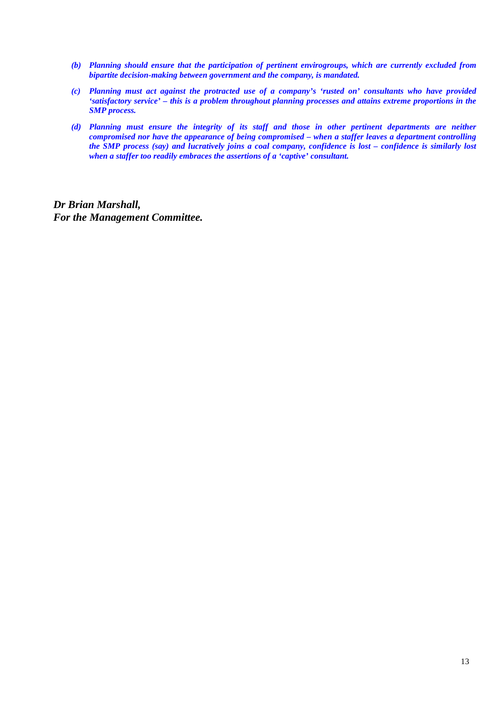- *(b) Planning should ensure that the participation of pertinent envirogroups, which are currently excluded from bipartite decision-making between government and the company, is mandated.*
- *(c) Planning must act against the protracted use of a company's 'rusted on' consultants who have provided 'satisfactory service' – this is a problem throughout planning processes and attains extreme proportions in the SMP process.*
- *(d) Planning must ensure the integrity of its staff and those in other pertinent departments are neither compromised nor have the appearance of being compromised – when a staffer leaves a department controlling the SMP process (say) and lucratively joins a coal company, confidence is lost – confidence is similarly lost when a staffer too readily embraces the assertions of a 'captive' consultant.*

*Dr Brian Marshall, For the Management Committee.*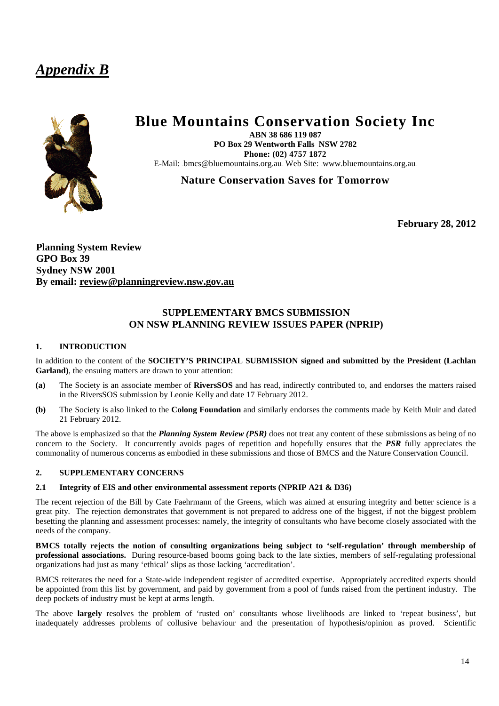# *Appendix B*



# **Blue Mountains Conservation Society Inc**

**ABN 38 686 119 087 PO Box 29 Wentworth Falls NSW 2782 Phone: (02) 4757 1872**  E-Mail: bmcs@bluemountains.org.au\_Web Site: www.bluemountains.org.au

**Nature Conservation Saves for Tomorrow**

**February 28, 2012**

**Planning System Review GPO Box 39 Sydney NSW 2001 By email: review@planningreview.nsw.gov.au**

## **SUPPLEMENTARY BMCS SUBMISSION ON NSW PLANNING REVIEW ISSUES PAPER (NPRIP)**

#### **1. INTRODUCTION**

In addition to the content of the **SOCIETY'S PRINCIPAL SUBMISSION signed and submitted by the President (Lachlan Garland)**, the ensuing matters are drawn to your attention:

- **(a)** The Society is an associate member of **RiversSOS** and has read, indirectly contributed to, and endorses the matters raised in the RiversSOS submission by Leonie Kelly and date 17 February 2012.
- **(b)** The Society is also linked to the **Colong Foundation** and similarly endorses the comments made by Keith Muir and dated 21 February 2012.

The above is emphasized so that the *Planning System Review (PSR)* does not treat any content of these submissions as being of no concern to the Society. It concurrently avoids pages of repetition and hopefully ensures that the *PSR* fully appreciates the commonality of numerous concerns as embodied in these submissions and those of BMCS and the Nature Conservation Council.

#### **2. SUPPLEMENTARY CONCERNS**

#### **2.1 Integrity of EIS and other environmental assessment reports (NPRIP A21 & D36)**

The recent rejection of the Bill by Cate Faehrmann of the Greens, which was aimed at ensuring integrity and better science is a great pity. The rejection demonstrates that government is not prepared to address one of the biggest, if not the biggest problem besetting the planning and assessment processes: namely, the integrity of consultants who have become closely associated with the needs of the company.

**BMCS totally rejects the notion of consulting organizations being subject to 'self-regulation' through membership of professional associations.** During resource-based booms going back to the late sixties, members of self-regulating professional organizations had just as many 'ethical' slips as those lacking 'accreditation'.

BMCS reiterates the need for a State-wide independent register of accredited expertise. Appropriately accredited experts should be appointed from this list by government, and paid by government from a pool of funds raised from the pertinent industry. The deep pockets of industry must be kept at arms length.

The above **largely** resolves the problem of 'rusted on' consultants whose livelihoods are linked to 'repeat business', but inadequately addresses problems of collusive behaviour and the presentation of hypothesis/opinion as proved. Scientific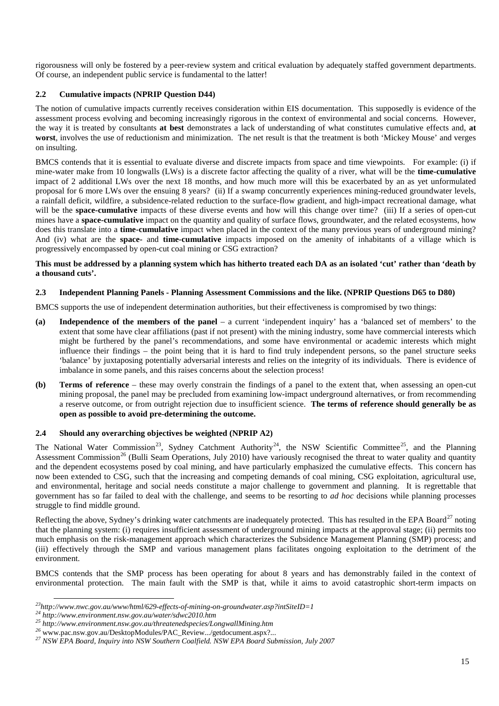rigorousness will only be fostered by a peer-review system and critical evaluation by adequately staffed government departments. Of course, an independent public service is fundamental to the latter!

#### **2.2 Cumulative impacts (NPRIP Question D44)**

The notion of cumulative impacts currently receives consideration within EIS documentation. This supposedly is evidence of the assessment process evolving and becoming increasingly rigorous in the context of environmental and social concerns. However, the way it is treated by consultants **at best** demonstrates a lack of understanding of what constitutes cumulative effects and, **at worst**, involves the use of reductionism and minimization. The net result is that the treatment is both 'Mickey Mouse' and verges on insulting.

BMCS contends that it is essential to evaluate diverse and discrete impacts from space and time viewpoints. For example: (i) if mine-water make from 10 longwalls (LWs) is a discrete factor affecting the quality of a river, what will be the **time-cumulative** impact of 2 additional LWs over the next 18 months, and how much more will this be exacerbated by an as yet unformulated proposal for 6 more LWs over the ensuing 8 years? (ii) If a swamp concurrently experiences mining-reduced groundwater levels, a rainfall deficit, wildfire, a subsidence-related reduction to the surface-flow gradient, and high-impact recreational damage, what will be the **space-cumulative** impacts of these diverse events and how will this change over time? (iii) If a series of open-cut mines have a **space-cumulative** impact on the quantity and quality of surface flows, groundwater, and the related ecosystems, how does this translate into a **time-cumulative** impact when placed in the context of the many previous years of underground mining? And (iv) what are the **space-** and **time-cumulative** impacts imposed on the amenity of inhabitants of a village which is progressively encompassed by open-cut coal mining or CSG extraction?

#### **This must be addressed by a planning system which has hitherto treated each DA as an isolated 'cut' rather than 'death by a thousand cuts'.**

#### **2.3 Independent Planning Panels - Planning Assessment Commissions and the like. (NPRIP Questions D65 to D80)**

BMCS supports the use of independent determination authorities, but their effectiveness is compromised by two things:

- **(a) Independence of the members of the panel** a current 'independent inquiry' has a 'balanced set of members' to the extent that some have clear affiliations (past if not present) with the mining industry, some have commercial interests which might be furthered by the panel's recommendations, and some have environmental or academic interests which might influence their findings – the point being that it is hard to find truly independent persons, so the panel structure seeks 'balance' by juxtaposing potentially adversarial interests and relies on the integrity of its individuals. There is evidence of imbalance in some panels, and this raises concerns about the selection process!
- **(b) Terms of reference**  these may overly constrain the findings of a panel to the extent that, when assessing an open-cut mining proposal, the panel may be precluded from examining low-impact underground alternatives, or from recommending a reserve outcome, or from outright rejection due to insufficient science. **The terms of reference should generally be as open as possible to avoid pre-determining the outcome.**

#### **2.4 Should any overarching objectives be weighted (NPRIP A2)**

The National Water Commission<sup>[23](#page-14-0)</sup>, Sydney Catchment Authority<sup>24</sup>, the NSW Scientific Committee<sup>25</sup>, and the Planning Assessment Commission<sup>[26](#page-14-3)</sup> (Bulli Seam Operations, July 2010) have variously recognised the threat to water quality and quantity and the dependent ecosystems posed by coal mining, and have particularly emphasized the cumulative effects. This concern has now been extended to CSG, such that the increasing and competing demands of coal mining, CSG exploitation, agricultural use, and environmental, heritage and social needs constitute a major challenge to government and planning. It is regrettable that government has so far failed to deal with the challenge, and seems to be resorting to *ad hoc* decisions while planning processes struggle to find middle ground.

Reflecting the above, Sydney's drinking water catchments are inadequately protected. This has resulted in the EPA Board<sup>[27](#page-14-4)</sup> noting that the planning system: (i) requires insufficient assessment of underground mining impacts at the approval stage; (ii) permits too much emphasis on the risk-management approach which characterizes the Subsidence Management Planning (SMP) process; and (iii) effectively through the SMP and various management plans facilitates ongoing exploitation to the detriment of the environment.

BMCS contends that the SMP process has been operating for about 8 years and has demonstrably failed in the context of environmental protection. The main fault with the SMP is that, while it aims to avoid catastrophic short-term impacts on

<span id="page-14-1"></span>

<span id="page-14-2"></span>

<span id="page-14-4"></span><span id="page-14-3"></span>

<span id="page-14-0"></span><sup>&</sup>lt;sup>23</sup>http://www.nwc.gov.au/www/html/629-effects-of-mining-on-groundwater.asp?intSiteID=1<br><sup>24</sup> http://www.environment.nsw.gov.au/water/sdwc2010.htm<br><sup>25</sup> http://www.environment.nsw.gov.au/threatenedspecies/LongwallMining.htm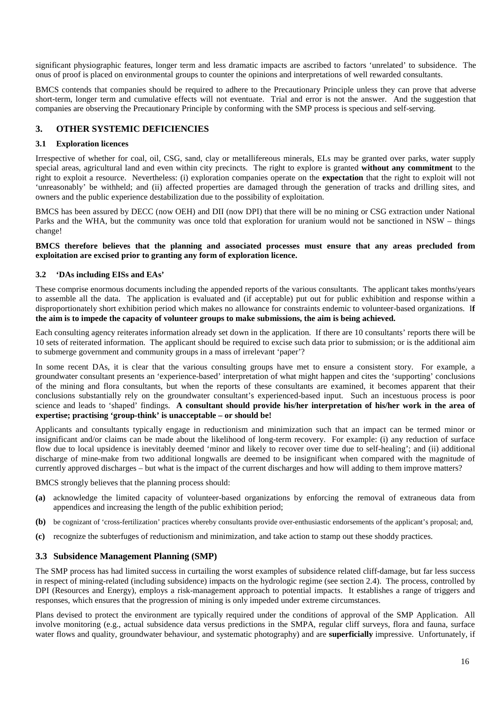significant physiographic features, longer term and less dramatic impacts are ascribed to factors 'unrelated' to subsidence. The onus of proof is placed on environmental groups to counter the opinions and interpretations of well rewarded consultants.

BMCS contends that companies should be required to adhere to the Precautionary Principle unless they can prove that adverse short-term, longer term and cumulative effects will not eventuate. Trial and error is not the answer. And the suggestion that companies are observing the Precautionary Principle by conforming with the SMP process is specious and self-serving.

### **3. OTHER SYSTEMIC DEFICIENCIES**

#### **3.1 Exploration licences**

Irrespective of whether for coal, oil, CSG, sand, clay or metallifereous minerals, ELs may be granted over parks, water supply special areas, agricultural land and even within city precincts. The right to explore is granted **without any commitment** to the right to exploit a resource. Nevertheless: (i) exploration companies operate on the **expectation** that the right to exploit will not 'unreasonably' be withheld; and (ii) affected properties are damaged through the generation of tracks and drilling sites, and owners and the public experience destabilization due to the possibility of exploitation.

BMCS has been assured by DECC (now OEH) and DII (now DPI) that there will be no mining or CSG extraction under National Parks and the WHA, but the community was once told that exploration for uranium would not be sanctioned in NSW – things change!

#### **BMCS therefore believes that the planning and associated processes must ensure that any areas precluded from exploitation are excised prior to granting any form of exploration licence.**

#### **3.2 'DAs including EISs and EAs'**

These comprise enormous documents including the appended reports of the various consultants. The applicant takes months/years to assemble all the data. The application is evaluated and (if acceptable) put out for public exhibition and response within a disproportionately short exhibition period which makes no allowance for constraints endemic to volunteer-based organizations. I**f the aim is to impede the capacity of volunteer groups to make submissions, the aim is being achieved.**

Each consulting agency reiterates information already set down in the application. If there are 10 consultants' reports there will be 10 sets of reiterated information. The applicant should be required to excise such data prior to submission; or is the additional aim to submerge government and community groups in a mass of irrelevant 'paper'?

In some recent DAs, it is clear that the various consulting groups have met to ensure a consistent story. For example, a groundwater consultant presents an 'experience-based' interpretation of what might happen and cites the 'supporting' conclusions of the mining and flora consultants, but when the reports of these consultants are examined, it becomes apparent that their conclusions substantially rely on the groundwater consultant's experienced-based input. Such an incestuous process is poor science and leads to 'shaped' findings. **A consultant should provide his/her interpretation of his/her work in the area of expertise; practising 'group-think' is unacceptable – or should be!**

Applicants and consultants typically engage in reductionism and minimization such that an impact can be termed minor or insignificant and/or claims can be made about the likelihood of long-term recovery. For example: (i) any reduction of surface flow due to local upsidence is inevitably deemed 'minor and likely to recover over time due to self-healing'; and (ii) additional discharge of mine-make from two additional longwalls are deemed to be insignificant when compared with the magnitude of currently approved discharges – but what is the impact of the current discharges and how will adding to them improve matters?

BMCS strongly believes that the planning process should:

- **(a)** acknowledge the limited capacity of volunteer-based organizations by enforcing the removal of extraneous data from appendices and increasing the length of the public exhibition period;
- **(b)** be cognizant of 'cross-fertilization' practices whereby consultants provide over-enthusiastic endorsements of the applicant's proposal; and,
- **(c)** recognize the subterfuges of reductionism and minimization, and take action to stamp out these shoddy practices.

### **3.3 Subsidence Management Planning (SMP)**

The SMP process has had limited success in curtailing the worst examples of subsidence related cliff-damage, but far less success in respect of mining-related (including subsidence) impacts on the hydrologic regime (see section 2.4). The process, controlled by DPI (Resources and Energy), employs a risk-management approach to potential impacts. It establishes a range of triggers and responses, which ensures that the progression of mining is only impeded under extreme circumstances.

Plans devised to protect the environment are typically required under the conditions of approval of the SMP Application. All involve monitoring (e.g., actual subsidence data versus predictions in the SMPA, regular cliff surveys, flora and fauna, surface water flows and quality, groundwater behaviour, and systematic photography) and are **superficially** impressive. Unfortunately, if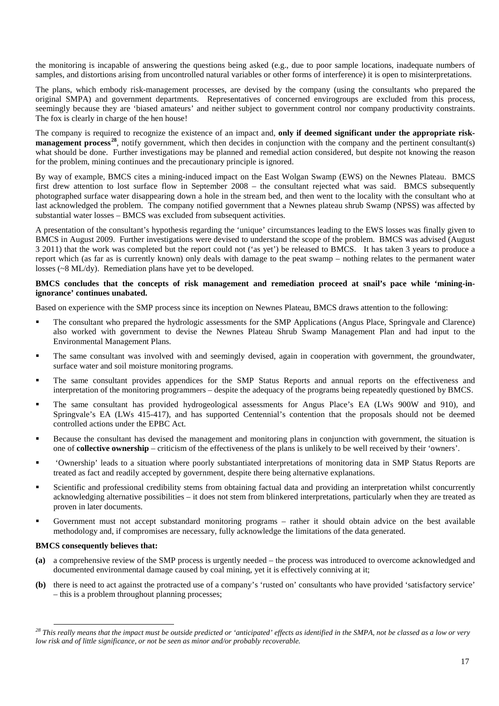the monitoring is incapable of answering the questions being asked (e.g., due to poor sample locations, inadequate numbers of samples, and distortions arising from uncontrolled natural variables or other forms of interference) it is open to misinterpretations.

The plans, which embody risk-management processes, are devised by the company (using the consultants who prepared the original SMPA) and government departments. Representatives of concerned envirogroups are excluded from this process, seemingly because they are 'biased amateurs' and neither subject to government control nor company productivity constraints. The fox is clearly in charge of the hen house!

The company is required to recognize the existence of an impact and, **only if deemed significant under the appropriate risk-management process<sup>[28](#page-16-0)</sup>**, notify government, which then decides in conjunction with the company and the pertinent consultant(s) what should be done. Further investigations may be planned and remedial action considered, but despite not knowing the reason for the problem, mining continues and the precautionary principle is ignored.

By way of example, BMCS cites a mining-induced impact on the East Wolgan Swamp (EWS) on the Newnes Plateau. BMCS first drew attention to lost surface flow in September 2008 – the consultant rejected what was said. BMCS subsequently photographed surface water disappearing down a hole in the stream bed, and then went to the locality with the consultant who at last acknowledged the problem. The company notified government that a Newnes plateau shrub Swamp (NPSS) was affected by substantial water losses – BMCS was excluded from subsequent activities.

A presentation of the consultant's hypothesis regarding the 'unique' circumstances leading to the EWS losses was finally given to BMCS in August 2009. Further investigations were devised to understand the scope of the problem. BMCS was advised (August 3 2011) that the work was completed but the report could not ('as yet') be released to BMCS. It has taken 3 years to produce a report which (as far as is currently known) only deals with damage to the peat swamp – nothing relates to the permanent water losses (~8 ML/dy). Remediation plans have yet to be developed.

#### **BMCS concludes that the concepts of risk management and remediation proceed at snail's pace while 'mining-inignorance' continues unabated.**

Based on experience with the SMP process since its inception on Newnes Plateau, BMCS draws attention to the following:

- The consultant who prepared the hydrologic assessments for the SMP Applications (Angus Place, Springvale and Clarence) also worked with government to devise the Newnes Plateau Shrub Swamp Management Plan and had input to the Environmental Management Plans.
- The same consultant was involved with and seemingly devised, again in cooperation with government, the groundwater, surface water and soil moisture monitoring programs.
- The same consultant provides appendices for the SMP Status Reports and annual reports on the effectiveness and interpretation of the monitoring programmers – despite the adequacy of the programs being repeatedly questioned by BMCS.
- The same consultant has provided hydrogeological assessments for Angus Place's EA (LWs 900W and 910), and Springvale's EA (LWs 415-417), and has supported Centennial's contention that the proposals should not be deemed controlled actions under the EPBC Act.
- Because the consultant has devised the management and monitoring plans in conjunction with government, the situation is one of **collective ownership** – criticism of the effectiveness of the plans is unlikely to be well received by their 'owners'.
- 'Ownership' leads to a situation where poorly substantiated interpretations of monitoring data in SMP Status Reports are treated as fact and readily accepted by government, despite there being alternative explanations.
- Scientific and professional credibility stems from obtaining factual data and providing an interpretation whilst concurrently acknowledging alternative possibilities – it does not stem from blinkered interpretations, particularly when they are treated as proven in later documents.
- Government must not accept substandard monitoring programs rather it should obtain advice on the best available methodology and, if compromises are necessary, fully acknowledge the limitations of the data generated.

#### **BMCS consequently believes that:**

- **(a)** a comprehensive review of the SMP process is urgently needed the process was introduced to overcome acknowledged and documented environmental damage caused by coal mining, yet it is effectively conniving at it;
- **(b)** there is need to act against the protracted use of a company's 'rusted on' consultants who have provided 'satisfactory service' – this is a problem throughout planning processes;

<span id="page-16-0"></span>*<sup>28</sup> This really means that the impact must be outside predicted or 'anticipated' effects as identified in the SMPA, not be classed as a low or very low risk and of little significance, or not be seen as minor and/or probably recoverable.*